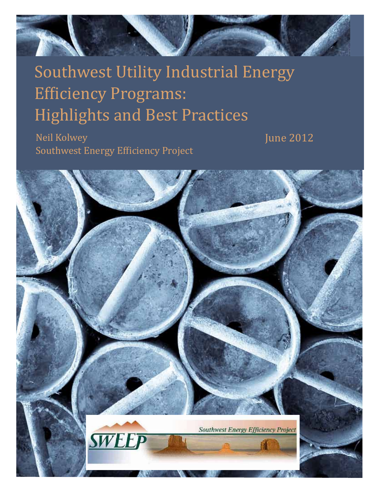

# Southwest Utility Industrial Energy **Efficiency Programs: Highlights and Best Practices**

 Neil Kolwey **Southwest Energy Efficiency Project**  June 2012

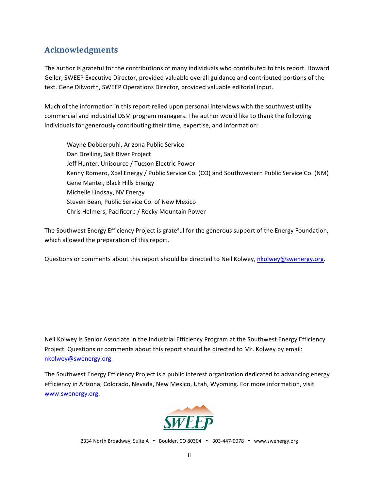# **Acknowledgments.**

The author is grateful for the contributions of many individuals who contributed to this report. Howard Geller, SWEEP Executive Director, provided valuable overall guidance and contributed portions of the text. Gene Dilworth, SWEEP Operations Director, provided valuable editorial input.

Much of the information in this report relied upon personal interviews with the southwest utility commercial and industrial DSM program managers. The author would like to thank the following individuals for generously contributing their time, expertise, and information:

Wayne Dobberpuhl, Arizona Public Service Dan Dreiling, Salt River Project Jeff Hunter, Unisource / Tucson Electric Power Kenny Romero, Xcel Energy / Public Service Co. (CO) and Southwestern Public Service Co. (NM) Gene Mantei, Black Hills Energy Michelle Lindsay, NV Energy Steven Bean, Public Service Co. of New Mexico Chris Helmers, Pacificorp / Rocky Mountain Power

The Southwest Energy Efficiency Project is grateful for the generous support of the Energy Foundation, which allowed the preparation of this report.

Questions or comments about this report should be directed to Neil Kolwey, nkolwey@swenergy.org.

Neil Kolwey is Senior Associate in the Industrial Efficiency Program at the Southwest Energy Efficiency Project. Questions or comments about this report should be directed to Mr. Kolwey by email: nkolwey@swenergy.org.!

The Southwest Energy Efficiency Project is a public interest organization dedicated to advancing energy efficiency in Arizona, Colorado, Nevada, New Mexico, Utah, Wyoming. For more information, visit www.swenergy.org.



2334 North Broadway, Suite A • Boulder, CO 80304 • 303-447-0078 • www.swenergy.org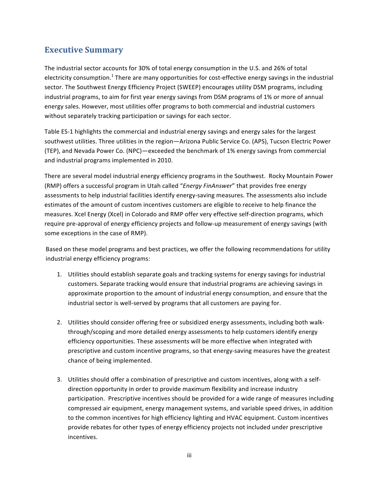# **Executive Summary**

The industrial sector accounts for 30% of total energy consumption in the U.S. and 26% of total electricity consumption.<sup>1</sup> There are many opportunities for cost-effective energy savings in the industrial sector. The Southwest Energy Efficiency Project (SWEEP) encourages utility DSM programs, including industrial programs, to aim for first year energy savings from DSM programs of 1% or more of annual energy sales. However, most utilities offer programs to both commercial and industrial customers without separately tracking participation or savings for each sector.

Table ES-1 highlights the commercial and industrial energy savings and energy sales for the largest southwest utilities. Three utilities in the region—Arizona Public Service Co. (APS), Tucson Electric Power (TEP), and Nevada Power Co. (NPC)—exceeded the benchmark of 1% energy savings from commercial and industrial programs implemented in 2010.

There are several model industrial energy efficiency programs in the Southwest. Rocky Mountain Power (RMP) offers a successful program in Utah called "*Energy FinAnswer*" that provides free energy assessments to help industrial facilities identify energy-saving measures. The assessments also include estimates of the amount of custom incentives customers are eligible to receive to help finance the measures. Xcel Energy (Xcel) in Colorado and RMP offer very effective self-direction programs, which require pre-approval of energy efficiency projects and follow-up measurement of energy savings (with some exceptions in the case of RMP).

Based on these model programs and best practices, we offer the following recommendations for utility industrial energy efficiency programs:

- 1. Utilities should establish separate goals and tracking systems for energy savings for industrial customers. Separate tracking would ensure that industrial programs are achieving savings in approximate proportion to the amount of industrial energy consumption, and ensure that the industrial sector is well-served by programs that all customers are paying for.
- 2. Utilities should consider offering free or subsidized energy assessments, including both walkthrough/scoping and more detailed energy assessments to help customers identify energy efficiency opportunities. These assessments will be more effective when integrated with prescriptive and custom incentive programs, so that energy-saving measures have the greatest chance of being implemented.
- 3. Utilities should offer a combination of prescriptive and custom incentives, along with a selfdirection opportunity in order to provide maximum flexibility and increase industry participation. Prescriptive incentives should be provided for a wide range of measures including compressed air equipment, energy management systems, and variable speed drives, in addition to the common incentives for high efficiency lighting and HVAC equipment. Custom incentives provide rebates for other types of energy efficiency projects not included under prescriptive incentives.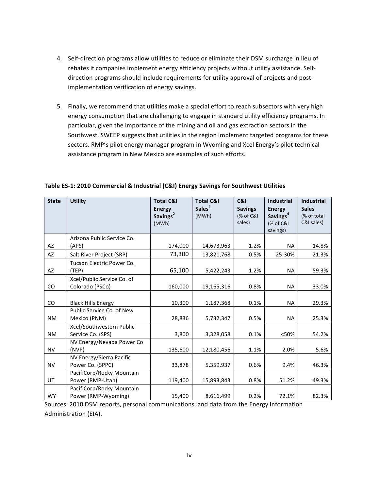- 4. Self-direction programs allow utilities to reduce or eliminate their DSM surcharge in lieu of rebates if companies implement energy efficiency projects without utility assistance. Selfdirection programs should include requirements for utility approval of projects and postimplementation verification of energy savings.
- 5. Finally, we recommend that utilities make a special effort to reach subsectors with very high energy consumption that are challenging to engage in standard utility efficiency programs. In particular, given the importance of the mining and oil and gas extraction sectors in the Southwest, SWEEP suggests that utilities in the region implement targeted programs for these sectors. RMP's pilot energy manager program in Wyoming and Xcel Energy's pilot technical assistance program in New Mexico are examples of such efforts.

| <b>State</b> | <b>Utility</b>             | <b>Total C&amp;I</b><br><b>Energy</b> | <b>Total C&amp;I</b><br>Sales <sup>3</sup> | C&I<br><b>Savings</b> | <b>Industrial</b><br><b>Energy</b> | <b>Industrial</b><br><b>Sales</b> |
|--------------|----------------------------|---------------------------------------|--------------------------------------------|-----------------------|------------------------------------|-----------------------------------|
|              |                            | Savings <sup>2</sup>                  | (MWh)                                      | (% of C&I             | Savings <sup>4</sup>               | (% of total                       |
|              |                            | (MWh)                                 |                                            | sales)                | (% of C&I                          | C&I sales)                        |
|              |                            |                                       |                                            |                       | savings)                           |                                   |
|              | Arizona Public Service Co. |                                       |                                            |                       |                                    |                                   |
| AZ           | (APS)                      | 174,000                               | 14,673,963                                 | 1.2%                  | <b>NA</b>                          | 14.8%                             |
| AZ           | Salt River Project (SRP)   | 73,300                                | 13,821,768                                 | 0.5%                  | 25-30%                             | 21.3%                             |
|              | Tucson Electric Power Co.  |                                       |                                            |                       |                                    |                                   |
| AZ           | (TEP)                      | 65,100                                | 5,422,243                                  | 1.2%                  | <b>NA</b>                          | 59.3%                             |
|              | Xcel/Public Service Co. of |                                       |                                            |                       |                                    |                                   |
| CO           | Colorado (PSCo)            | 160,000                               | 19,165,316                                 | 0.8%                  | <b>NA</b>                          | 33.0%                             |
|              |                            |                                       |                                            |                       |                                    |                                   |
| CO           | <b>Black Hills Energy</b>  | 10,300                                | 1,187,368                                  | 0.1%                  | <b>NA</b>                          | 29.3%                             |
|              | Public Service Co. of New  |                                       |                                            |                       |                                    |                                   |
| <b>NM</b>    | Mexico (PNM)               | 28,836                                | 5,732,347                                  | 0.5%                  | <b>NA</b>                          | 25.3%                             |
|              | Xcel/Southwestern Public   |                                       |                                            |                       |                                    |                                   |
| <b>NM</b>    | Service Co. (SPS)          | 3,800                                 | 3,328,058                                  | 0.1%                  | < 50%                              | 54.2%                             |
|              | NV Energy/Nevada Power Co  |                                       |                                            |                       |                                    |                                   |
| <b>NV</b>    | (NVP)                      | 135,600                               | 12,180,456                                 | 1.1%                  | 2.0%                               | 5.6%                              |
|              | NV Energy/Sierra Pacific   |                                       |                                            |                       |                                    |                                   |
| <b>NV</b>    | Power Co. (SPPC)           | 33,878                                | 5,359,937                                  | 0.6%                  | 9.4%                               | 46.3%                             |
|              | PacifiCorp/Rocky Mountain  |                                       |                                            |                       |                                    |                                   |
| UT           | Power (RMP-Utah)           | 119,400                               | 15,893,843                                 | 0.8%                  | 51.2%                              | 49.3%                             |
|              | PacifiCorp/Rocky Mountain  |                                       |                                            |                       |                                    |                                   |
| <b>WY</b>    | Power (RMP-Wyoming)        | 15,400                                | 8,616,499                                  | 0.2%                  | 72.1%                              | 82.3%                             |

Table ES-1: 2010 Commercial & Industrial (C&I) Energy Savings for Southwest Utilities

Sources: 2010 DSM reports, personal communications, and data from the Energy Information Administration (EIA).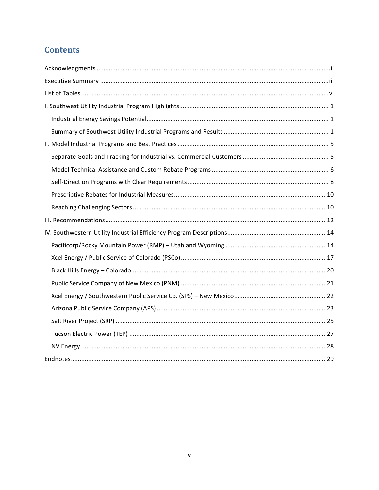# **Contents**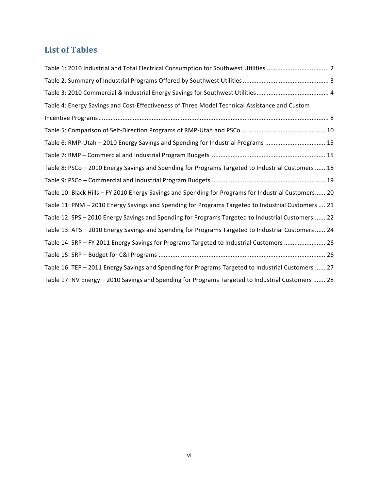# List of **Tables**

| Table 1: 2010 Industrial and Total Electrical Consumption for Southwest Utilities  2                 |
|------------------------------------------------------------------------------------------------------|
|                                                                                                      |
|                                                                                                      |
| Table 4: Energy Savings and Cost-Effectiveness of Three Model Technical Assistance and Custom        |
|                                                                                                      |
|                                                                                                      |
| Table 6: RMP-Utah - 2010 Energy Savings and Spending for Industrial Programs  15                     |
|                                                                                                      |
| Table 8: PSCo - 2010 Energy Savings and Spending for Programs Targeted to Industrial Customers  18   |
|                                                                                                      |
| Table 10: Black Hills - FY 2010 Energy Savings and Spending for Programs for Industrial Customers 20 |
| Table 11: PNM - 2010 Energy Savings and Spending for Programs Targeted to Industrial Customers  21   |
| Table 12: SPS - 2010 Energy Savings and Spending for Programs Targeted to Industrial Customers 22    |
| Table 13: APS - 2010 Energy Savings and Spending for Programs Targeted to Industrial Customers  24   |
| Table 14: SRP - FY 2011 Energy Savings for Programs Targeted to Industrial Customers  26             |
|                                                                                                      |
| Table 16: TEP - 2011 Energy Savings and Spending for Programs Targeted to Industrial Customers  27   |
| Table 17: NV Energy - 2010 Savings and Spending for Programs Targeted to Industrial Customers  28    |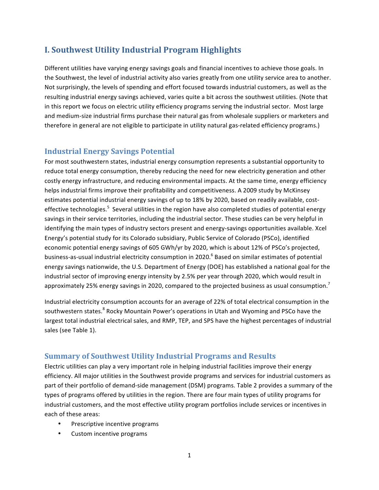# **I..Southwest.Utility.Industrial.Program.Highlights.**

Different utilities have varying energy savings goals and financial incentives to achieve those goals. In the Southwest, the level of industrial activity also varies greatly from one utility service area to another. Not surprisingly, the levels of spending and effort focused towards industrial customers, as well as the resulting industrial energy savings achieved, varies quite a bit across the southwest utilities. (Note that in this report we focus on electric utility efficiency programs serving the industrial sector. Most large and medium-size industrial firms purchase their natural gas from wholesale suppliers or marketers and therefore in general are not eligible to participate in utility natural gas-related efficiency programs.)

# **Industrial.Energy.Savings.Potential**

For most southwestern states, industrial energy consumption represents a substantial opportunity to reduce total energy consumption, thereby reducing the need for new electricity generation and other costly energy infrastructure, and reducing environmental impacts. At the same time, energy efficiency helps industrial firms improve their profitability and competitiveness. A 2009 study by McKinsey estimates potential industrial energy savings of up to 18% by 2020, based on readily available, costeffective technologies.<sup>5</sup> Several utilities in the region have also completed studies of potential energy savings in their service territories, including the industrial sector. These studies can be very helpful in identifying the main types of industry sectors present and energy-savings opportunities available. Xcel Energy's potential study for its Colorado subsidiary, Public Service of Colorado (PSCo), identified economic potential energy savings of 605 GWh/yr by 2020, which is about 12% of PSCo's projected, business-as-usual industrial electricity consumption in 2020.<sup>6</sup> Based on similar estimates of potential energy savings nationwide, the U.S. Department of Energy (DOE) has established a national goal for the industrial sector of improving energy intensity by 2.5% per year through 2020, which would result in approximately 25% energy savings in 2020, compared to the projected business as usual consumption.<sup>7</sup>

Industrial electricity consumption accounts for an average of 22% of total electrical consumption in the southwestern states.<sup>8</sup> Rocky Mountain Power's operations in Utah and Wyoming and PSCo have the largest total industrial electrical sales, and RMP, TEP, and SPS have the highest percentages of industrial sales (see Table 1).

# **Summary of Southwest Utility Industrial Programs and Results**

Electric utilities can play a very important role in helping industrial facilities improve their energy efficiency. All major utilities in the Southwest provide programs and services for industrial customers as part of their portfolio of demand-side management (DSM) programs. Table 2 provides a summary of the types of programs offered by utilities in the region. There are four main types of utility programs for industrial customers, and the most effective utility program portfolios include services or incentives in each of these areas:

- Prescriptive incentive programs
- Custom incentive programs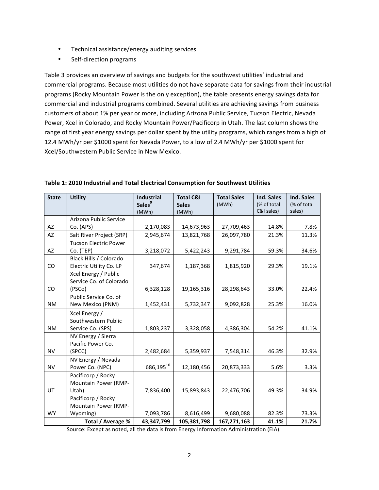- Technical assistance/energy auditing services
- Self-direction programs

Table 3 provides an overview of savings and budgets for the southwest utilities' industrial and commercial programs. Because most utilities do not have separate data for savings from their industrial programs (Rocky Mountain Power is the only exception), the table presents energy savings data for commercial and industrial programs combined. Several utilities are achieving savings from business customers of about 1% per year or more, including Arizona Public Service, Tucson Electric, Nevada Power, Xcel in Colorado, and Rocky Mountain Power/Pacificorp in Utah. The last column shows the range of first year energy savings per dollar spent by the utility programs, which ranges from a high of 12.4 MWh/yr per \$1000 spent for Nevada Power, to a low of 2.4 MWh/yr per \$1000 spent for Xcel/Southwestern Public Service in New Mexico.

| <b>State</b> | <b>Utility</b>               | <b>Industrial</b><br>Sales <sup>9</sup> | <b>Total C&amp;I</b><br><b>Sales</b> | <b>Total Sales</b><br>(MWh) | Ind. Sales<br>(% of total | Ind. Sales<br>(% of total |
|--------------|------------------------------|-----------------------------------------|--------------------------------------|-----------------------------|---------------------------|---------------------------|
|              |                              | (MWh)                                   | (MWh)                                |                             | C&I sales)                | sales)                    |
|              | Arizona Public Service       |                                         |                                      |                             |                           |                           |
| AZ           | Co. (APS)                    | 2,170,083                               | 14,673,963                           | 27,709,463                  | 14.8%                     | 7.8%                      |
| AZ           | Salt River Project (SRP)     | 2,945,674                               | 13,821,768                           | 26,097,780                  | 21.3%                     | 11.3%                     |
|              | <b>Tucson Electric Power</b> |                                         |                                      |                             |                           |                           |
| AZ           | Co. (TEP)                    | 3,218,072                               | 5,422,243                            | 9,291,784                   | 59.3%                     | 34.6%                     |
|              | Black Hills / Colorado       |                                         |                                      |                             |                           |                           |
| CO           | Electric Utility Co. LP      | 347,674                                 | 1,187,368                            | 1,815,920                   | 29.3%                     | 19.1%                     |
|              | Xcel Energy / Public         |                                         |                                      |                             |                           |                           |
|              | Service Co. of Colorado      |                                         |                                      |                             |                           |                           |
| CO           | (PSCo)                       | 6,328,128                               | 19,165,316                           | 28,298,643                  | 33.0%                     | 22.4%                     |
|              | Public Service Co. of        |                                         |                                      |                             |                           |                           |
| <b>NM</b>    | New Mexico (PNM)             | 1,452,431                               | 5,732,347                            | 9,092,828                   | 25.3%                     | 16.0%                     |
|              | Xcel Energy /                |                                         |                                      |                             |                           |                           |
|              | Southwestern Public          |                                         |                                      |                             |                           |                           |
| <b>NM</b>    | Service Co. (SPS)            | 1,803,237                               | 3,328,058                            | 4,386,304                   | 54.2%                     | 41.1%                     |
|              | NV Energy / Sierra           |                                         |                                      |                             |                           |                           |
|              | Pacific Power Co.            |                                         |                                      |                             |                           |                           |
| <b>NV</b>    | (SPCC)                       | 2,482,684                               | 5,359,937                            | 7,548,314                   | 46.3%                     | 32.9%                     |
|              | NV Energy / Nevada           |                                         |                                      |                             |                           |                           |
| <b>NV</b>    | Power Co. (NPC)              | 686,19510                               | 12,180,456                           | 20,873,333                  | 5.6%                      | 3.3%                      |
|              | Pacificorp / Rocky           |                                         |                                      |                             |                           |                           |
|              | Mountain Power (RMP-         |                                         |                                      |                             |                           |                           |
| UT           | Utah)                        | 7,836,400                               | 15,893,843                           | 22,476,706                  | 49.3%                     | 34.9%                     |
|              | Pacificorp / Rocky           |                                         |                                      |                             |                           |                           |
|              | Mountain Power (RMP-         |                                         |                                      |                             |                           |                           |
| <b>WY</b>    | Wyoming)                     | 7,093,786                               | 8,616,499                            | 9,680,088                   | 82.3%                     | 73.3%                     |
|              | Total / Average %            | 43,347,799                              | 105,381,798                          | 167,271,163                 | 41.1%                     | 21.7%                     |

Table 1: 2010 Industrial and Total Electrical Consumption for Southwest Utilities

Source: Except as noted, all the data is from Energy Information Administration (EIA).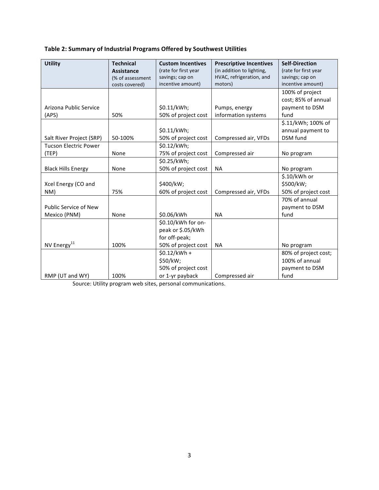# Table 2: Summary of Industrial Programs Offered by Southwest Utilities

| <b>Utility</b>               | <b>Technical</b>  | <b>Custom Incentives</b> | <b>Prescriptive Incentives</b> | <b>Self-Direction</b> |
|------------------------------|-------------------|--------------------------|--------------------------------|-----------------------|
|                              | <b>Assistance</b> | (rate for first year     | (in addition to lighting,      | (rate for first year  |
|                              | (% of assessment  | savings; cap on          | HVAC, refrigeration, and       | savings; cap on       |
|                              | costs covered)    | incentive amount)        | motors)                        | incentive amount)     |
|                              |                   |                          |                                | 100% of project       |
|                              |                   |                          |                                | cost; 85% of annual   |
| Arizona Public Service       |                   | \$0.11/kWh;              | Pumps, energy                  | payment to DSM        |
| (APS)                        | 50%               | 50% of project cost      | information systems            | fund                  |
|                              |                   |                          |                                | \$.11/kWh; 100% of    |
|                              |                   | \$0.11/kWh;              |                                | annual payment to     |
| Salt River Project (SRP)     | 50-100%           | 50% of project cost      | Compressed air, VFDs           | <b>DSM</b> fund       |
| <b>Tucson Electric Power</b> |                   | \$0.12/kWh;              |                                |                       |
| (TEP)                        | None              | 75% of project cost      | Compressed air                 | No program            |
|                              |                   | \$0.25/kWh;              |                                |                       |
| <b>Black Hills Energy</b>    | None              | 50% of project cost      | <b>NA</b>                      | No program            |
|                              |                   |                          |                                | \$.10/kWh or          |
| Xcel Energy (CO and          |                   | \$400/kW;                |                                | \$500/kW;             |
| NM)                          | 75%               | 60% of project cost      | Compressed air, VFDs           | 50% of project cost   |
|                              |                   |                          |                                | 70% of annual         |
| <b>Public Service of New</b> |                   |                          |                                | payment to DSM        |
| Mexico (PNM)                 | None              | \$0.06/kWh               | <b>NA</b>                      | fund                  |
|                              |                   | \$0.10/kWh for on-       |                                |                       |
|                              |                   | peak or \$.05/kWh        |                                |                       |
|                              |                   | for off-peak;            |                                |                       |
| NV Energy <sup>11</sup>      | 100%              | 50% of project cost      | <b>NA</b>                      | No program            |
|                              |                   | $$0.12/kWh +$            |                                | 80% of project cost;  |
|                              |                   | \$50/kW;                 |                                | 100% of annual        |
|                              |                   | 50% of project cost      |                                | payment to DSM        |
| RMP (UT and WY)              | 100%              | or 1-yr payback          | Compressed air                 | fund                  |

Source: Utility program web sites, personal communications.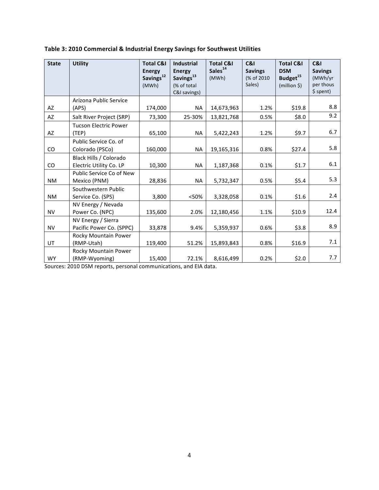| <b>State</b> | <b>Utility</b>               | <b>Total C&amp;I</b><br><b>Energy</b> | <b>Industrial</b><br><b>Energy</b> | <b>Total C&amp;I</b><br>Sales <sup>14</sup> | C&I<br><b>Savings</b> | <b>Total C&amp;I</b><br><b>DSM</b> | <b>C&amp;I</b><br><b>Savings</b> |
|--------------|------------------------------|---------------------------------------|------------------------------------|---------------------------------------------|-----------------------|------------------------------------|----------------------------------|
|              |                              | Savings <sup>12</sup>                 | Savings <sup>13</sup>              | (MWh)                                       | (% of 2010)           | Budget <sup>15</sup>               | (MWh/yr                          |
|              |                              | (MWh)                                 | (% of total                        |                                             | Sales)                | $(million \xi)$                    | per thous                        |
|              |                              |                                       | C&I savings)                       |                                             |                       |                                    | \$ spent)                        |
|              | Arizona Public Service       |                                       |                                    |                                             |                       |                                    |                                  |
| AZ           | (APS)                        | 174,000                               | <b>NA</b>                          | 14,673,963                                  | 1.2%                  | \$19.8                             | 8.8                              |
| AZ           | Salt River Project (SRP)     | 73,300                                | 25-30%                             | 13,821,768                                  | 0.5%                  | \$8.0                              | 9.2                              |
|              | <b>Tucson Electric Power</b> |                                       |                                    |                                             |                       |                                    |                                  |
| AZ           | (TEP)                        | 65,100                                | <b>NA</b>                          | 5,422,243                                   | 1.2%                  | \$9.7                              | 6.7                              |
|              | Public Service Co. of        |                                       |                                    |                                             |                       |                                    |                                  |
| CO           | Colorado (PSCo)              | 160,000                               | <b>NA</b>                          | 19,165,316                                  | 0.8%                  | \$27.4                             | 5.8                              |
|              | Black Hills / Colorado       |                                       |                                    |                                             |                       |                                    |                                  |
| CO           | Electric Utility Co. LP      | 10,300                                | <b>NA</b>                          | 1,187,368                                   | 0.1%                  | \$1.7                              | 6.1                              |
|              | Public Service Co of New     |                                       |                                    |                                             |                       |                                    |                                  |
| ΝM           | Mexico (PNM)                 | 28,836                                | <b>NA</b>                          | 5,732,347                                   | 0.5%                  | \$5.4                              | 5.3                              |
|              | Southwestern Public          |                                       |                                    |                                             |                       |                                    |                                  |
| NM           | Service Co. (SPS)            | 3,800                                 | <50%                               | 3,328,058                                   | 0.1%                  | \$1.6                              | 2.4                              |
|              | NV Energy / Nevada           |                                       |                                    |                                             |                       |                                    |                                  |
| <b>NV</b>    | Power Co. (NPC)              | 135,600                               | 2.0%                               | 12,180,456                                  | 1.1%                  | \$10.9                             | 12.4                             |
|              | NV Energy / Sierra           |                                       |                                    |                                             |                       |                                    |                                  |
| <b>NV</b>    | Pacific Power Co. (SPPC)     | 33,878                                | 9.4%                               | 5,359,937                                   | 0.6%                  | \$3.8                              | 8.9                              |
|              | Rocky Mountain Power         |                                       |                                    |                                             |                       |                                    |                                  |
| UT           | (RMP-Utah)                   | 119,400                               | 51.2%                              | 15,893,843                                  | 0.8%                  | \$16.9                             | 7.1                              |
|              | Rocky Mountain Power         |                                       |                                    |                                             |                       |                                    |                                  |
| <b>WY</b>    | (RMP-Wyoming)                | 15,400                                | 72.1%                              | 8,616,499                                   | 0.2%                  | \$2.0                              | 7.7                              |

# Table 3: 2010 Commercial & Industrial Energy Savings for Southwest Utilities

Sources: 2010 DSM reports, personal communications, and EIA data.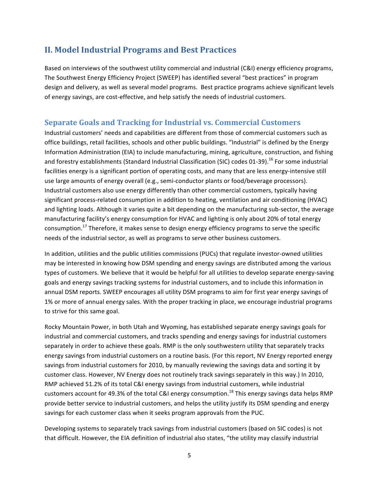# **II. Model Industrial Programs and Best Practices**

Based on interviews of the southwest utility commercial and industrial (C&I) energy efficiency programs, The Southwest Energy Efficiency Project (SWEEP) has identified several "best practices" in program design and delivery, as well as several model programs. Best practice programs achieve significant levels of energy savings, are cost-effective, and help satisfy the needs of industrial customers.

# **Separate.Goals.and.Tracking.for.Industrial.vs..Commercial Customers**

Industrial customers' needs and capabilities are different from those of commercial customers such as office buildings, retail facilities, schools and other public buildings. "Industrial" is defined by the Energy Information Administration (EIA) to include manufacturing, mining, agriculture, construction, and fishing and forestry establishments (Standard Industrial Classification (SIC) codes 01-39).<sup>16</sup> For some industrial facilities energy is a significant portion of operating costs, and many that are less energy-intensive still use large amounts of energy overall (e.g., semi-conductor plants or food/beverage processors). Industrial customers also use energy differently than other commercial customers, typically having significant process-related consumption in addition to heating, ventilation and air conditioning (HVAC) and lighting loads. Although it varies quite a bit depending on the manufacturing sub-sector, the average manufacturing facility's energy consumption for HVAC and lighting is only about 20% of total energy consumption.<sup>17</sup> Therefore, it makes sense to design energy efficiency programs to serve the specific needs of the industrial sector, as well as programs to serve other business customers.

In addition, utilities and the public utilities commissions (PUCs) that regulate investor-owned utilities may be interested in knowing how DSM spending and energy savings are distributed among the various types of customers. We believe that it would be helpful for all utilities to develop separate energy-saving goals and energy savings tracking systems for industrial customers, and to include this information in annual DSM reports. SWEEP encourages all utility DSM programs to aim for first year energy savings of 1% or more of annual energy sales. With the proper tracking in place, we encourage industrial programs to strive for this same goal.

Rocky Mountain Power, in both Utah and Wyoming, has established separate energy savings goals for industrial and commercial customers, and tracks spending and energy savings for industrial customers separately in order to achieve these goals. RMP is the only southwestern utility that separately tracks energy savings from industrial customers on a routine basis. (For this report, NV Energy reported energy savings from industrial customers for 2010, by manually reviewing the savings data and sorting it by customer class. However, NV Energy does not routinely track savings separately in this way.) In 2010, RMP achieved 51.2% of its total C&I energy savings from industrial customers, while industrial customers account for 49.3% of the total C&I energy consumption.<sup>18</sup> This energy savings data helps RMP provide better service to industrial customers, and helps the utility justify its DSM spending and energy savings for each customer class when it seeks program approvals from the PUC.

Developing systems to separately track savings from industrial customers (based on SIC codes) is not that difficult. However, the EIA definition of industrial also states, "the utility may classify industrial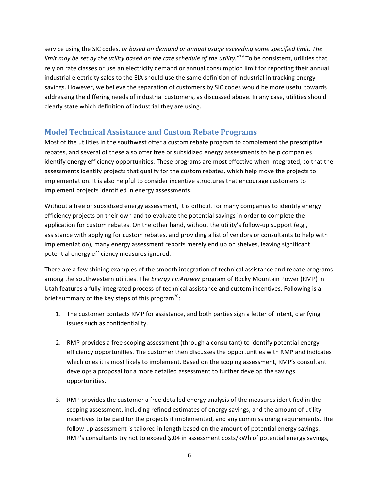service using the SIC codes, *or based on demand or annual usage exceeding some specified limit. The limit may be set by the utility based on the rate schedule of the utility."* <sup>19</sup> To be consistent, utilities that rely on rate classes or use an electricity demand or annual consumption limit for reporting their annual industrial electricity sales to the EIA should use the same definition of industrial in tracking energy savings. However, we believe the separation of customers by SIC codes would be more useful towards addressing the differing needs of industrial customers, as discussed above. In any case, utilities should clearly state which definition of industrial they are using.

# **Model Technical.Assistance.and Custom.Rebate Programs**

Most of the utilities in the southwest offer a custom rebate program to complement the prescriptive rebates, and several of these also offer free or subsidized energy assessments to help companies identify energy efficiency opportunities. These programs are most effective when integrated, so that the assessments identify projects that qualify for the custom rebates, which help move the projects to implementation. It is also helpful to consider incentive structures that encourage customers to implement projects identified in energy assessments.

Without a free or subsidized energy assessment, it is difficult for many companies to identify energy efficiency projects on their own and to evaluate the potential savings in order to complete the application for custom rebates. On the other hand, without the utility's follow-up support (e.g., assistance with applying for custom rebates, and providing a list of vendors or consultants to help with implementation), many energy assessment reports merely end up on shelves, leaving significant potential energy efficiency measures ignored.

There are a few shining examples of the smooth integration of technical assistance and rebate programs among the southwestern utilities. The *Energy FinAnswer* program of Rocky Mountain Power (RMP) in Utah features a fully integrated process of technical assistance and custom incentives. Following is a brief summary of the key steps of this program<sup>20</sup>:

- 1. The customer contacts RMP for assistance, and both parties sign a letter of intent, clarifying issues such as confidentiality.
- 2. RMP provides a free scoping assessment (through a consultant) to identify potential energy efficiency opportunities. The customer then discusses the opportunities with RMP and indicates which ones it is most likely to implement. Based on the scoping assessment, RMP's consultant develops a proposal for a more detailed assessment to further develop the savings opportunities.
- 3. RMP provides the customer a free detailed energy analysis of the measures identified in the scoping assessment, including refined estimates of energy savings, and the amount of utility incentives to be paid for the projects if implemented, and any commissioning requirements. The follow-up assessment is tailored in length based on the amount of potential energy savings. RMP's consultants try not to exceed \$.04 in assessment costs/kWh of potential energy savings,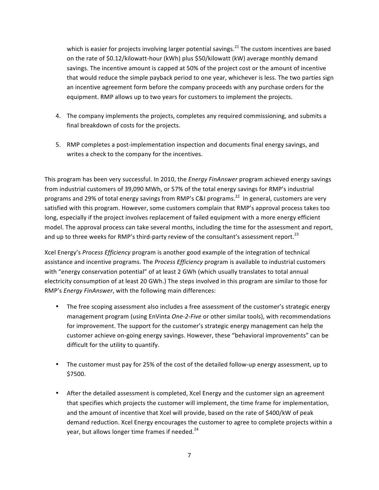which is easier for projects involving larger potential savings.<sup>21</sup> The custom incentives are based on the rate of \$0.12/kilowatt-hour (kWh) plus \$50/kilowatt (kW) average monthly demand savings. The incentive amount is capped at 50% of the project cost or the amount of incentive that would reduce the simple payback period to one year, whichever is less. The two parties sign an incentive agreement form before the company proceeds with any purchase orders for the equipment. RMP allows up to two years for customers to implement the projects.

- 4. The company implements the projects, completes any required commissioning, and submits a final breakdown of costs for the projects.
- 5. RMP completes a post-implementation inspection and documents final energy savings, and writes a check to the company for the incentives.

This program has been very successful. In 2010, the *Energy FinAnswer* program achieved energy savings from industrial customers of 39,090 MWh, or 57% of the total energy savings for RMP's industrial programs and 29% of total energy savings from RMP's C&I programs.<sup>22</sup> In general, customers are very satisfied with this program. However, some customers complain that RMP's approval process takes too long, especially if the project involves replacement of failed equipment with a more energy efficient model. The approval process can take several months, including the time for the assessment and report, and up to three weeks for RMP's third-party review of the consultant's assessment report.<sup>23</sup>

Xcel Energy's *Process Efficiency* program is another good example of the integration of technical assistance and incentive programs. The *Process Efficiency* program is available to industrial customers with "energy conservation potential" of at least 2 GWh (which usually translates to total annual electricity consumption of at least 20 GWh.) The steps involved in this program are similar to those for RMP's *Energy FinAnswer*, with the following main differences:

- The free scoping assessment also includes a free assessment of the customer's strategic energy management program (using EnVinta One-2-Five or other similar tools), with recommendations for improvement. The support for the customer's strategic energy management can help the customer achieve on-going energy savings. However, these "behavioral improvements" can be difficult for the utility to quantify.
- The customer must pay for 25% of the cost of the detailed follow-up energy assessment, up to \$7500.
- After the detailed assessment is completed, Xcel Energy and the customer sign an agreement that specifies which projects the customer will implement, the time frame for implementation, and the amount of incentive that Xcel will provide, based on the rate of \$400/kW of peak demand reduction. Xcel Energy encourages the customer to agree to complete projects within a year, but allows longer time frames if needed. $^{24}$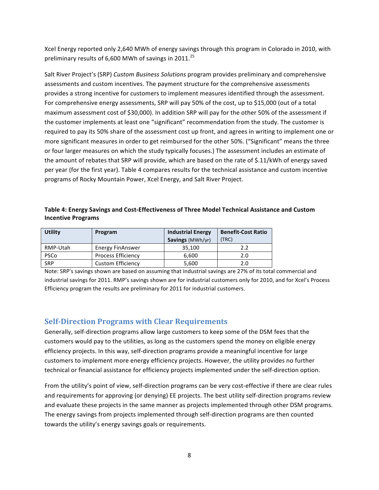Xcel Energy reported only 2,640 MWh of energy savings through this program in Colorado in 2010, with preliminary results of 6,600 MWh of savings in 2011.<sup>25</sup>

Salt River Project's (SRP) *Custom Business Solutions* program provides preliminary and comprehensive assessments and custom incentives. The payment structure for the comprehensive assessments provides a strong incentive for customers to implement measures identified through the assessment. For comprehensive energy assessments, SRP will pay 50% of the cost, up to \$15,000 (out of a total maximum assessment cost of \$30,000). In addition SRP will pay for the other 50% of the assessment if the customer implements at least one "significant" recommendation from the study. The customer is required to pay its 50% share of the assessment cost up front, and agrees in writing to implement one or more significant measures in order to get reimbursed for the other 50%. ("Significant" means the three or four larger measures on which the study typically focuses.) The assessment includes an estimate of the amount of rebates that SRP will provide, which are based on the rate of \$.11/kWh of energy saved per year (for the first year). Table 4 compares results for the technical assistance and custom incentive programs of Rocky Mountain Power, Xcel Energy, and Salt River Project.

## Table 4: Energy Savings and Cost-Effectiveness of Three Model Technical Assistance and Custom **Incentive!Programs**

| <b>Utility</b> | Program                   | <b>Industrial Energy</b> | <b>Benefit-Cost Ratio</b> |
|----------------|---------------------------|--------------------------|---------------------------|
|                |                           | Savings (MWh/yr)         | (TRC)                     |
| RMP-Utah       | <b>Energy FinAnswer</b>   | 35,100                   | 2.2                       |
| <b>PSCo</b>    | <b>Process Efficiency</b> | 6.600                    | 2.0                       |
| <b>SRP</b>     | <b>Custom Efficiency</b>  | 5,600                    | 2.0                       |

Note: SRP's savings shown are based on assuming that industrial savings are 27% of its total commercial and industrial savings for 2011. RMP's savings shown are for industrial customers only for 2010, and for Xcel's Process Efficiency program the results are preliminary for 2011 for industrial customers.

# **Self-Direction Programs with Clear Requirements.**

Generally, self-direction programs allow large customers to keep some of the DSM fees that the customers would pay to the utilities, as long as the customers spend the money on eligible energy efficiency projects. In this way, self-direction programs provide a meaningful incentive for large customers to implement more energy efficiency projects. However, the utility provides no further technical or financial assistance for efficiency projects implemented under the self-direction option.

From the utility's point of view, self-direction programs can be very cost-effective if there are clear rules and requirements for approving (or denying) EE projects. The best utility self-direction programs review and evaluate these projects in the same manner as projects implemented through other DSM programs. The energy savings from projects implemented through self-direction programs are then counted towards the utility's energy savings goals or requirements.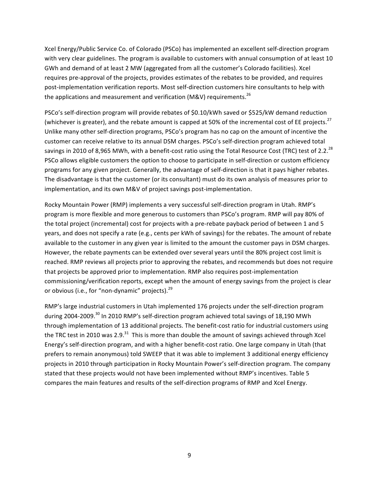Xcel Energy/Public Service Co. of Colorado (PSCo) has implemented an excellent self-direction program with very clear guidelines. The program is available to customers with annual consumption of at least 10 GWh and demand of at least 2 MW (aggregated from all the customer's Colorado facilities). Xcel requires pre-approval of the projects, provides estimates of the rebates to be provided, and requires post-implementation verification reports. Most self-direction customers hire consultants to help with the applications and measurement and verification (M&V) requirements.<sup>26</sup>

PSCo's self-direction program will provide rebates of \$0.10/kWh saved or \$525/kW demand reduction (whichever is greater), and the rebate amount is capped at 50% of the incremental cost of EE projects.<sup>27</sup> Unlike many other self-direction programs, PSCo's program has no cap on the amount of incentive the customer can receive relative to its annual DSM charges. PSCo's self-direction program achieved total savings in 2010 of 8,965 MWh, with a benefit-cost ratio using the Total Resource Cost (TRC) test of 2.2.<sup>28</sup> PSCo allows eligible customers the option to choose to participate in self-direction or custom efficiency programs for any given project. Generally, the advantage of self-direction is that it pays higher rebates. The disadvantage is that the customer (or its consultant) must do its own analysis of measures prior to implementation, and its own M&V of project savings post-implementation.

Rocky Mountain Power (RMP) implements a very successful self-direction program in Utah. RMP's program is more flexible and more generous to customers than PSCo's program. RMP will pay 80% of the total project (incremental) cost for projects with a pre-rebate payback period of between 1 and 5 years, and does not specify a rate (e.g., cents per kWh of savings) for the rebates. The amount of rebate available to the customer in any given year is limited to the amount the customer pays in DSM charges. However, the rebate payments can be extended over several years until the 80% project cost limit is reached. RMP reviews all projects prior to approving the rebates, and recommends but does not require that projects be approved prior to implementation. RMP also requires post-implementation commissioning/verification reports, except when the amount of energy savings from the project is clear or obvious (i.e., for "non-dynamic" projects).<sup>29</sup>

RMP's large industrial customers in Utah implemented 176 projects under the self-direction program during 2004-2009.<sup>30</sup> In 2010 RMP's self-direction program achieved total savings of 18,190 MWh through implementation of 13 additional projects. The benefit-cost ratio for industrial customers using the TRC test in 2010 was 2.9.<sup>31</sup> This is more than double the amount of savings achieved through Xcel Energy's self-direction program, and with a higher benefit-cost ratio. One large company in Utah (that prefers to remain anonymous) told SWEEP that it was able to implement 3 additional energy efficiency projects in 2010 through participation in Rocky Mountain Power's self-direction program. The company stated that these projects would not have been implemented without RMP's incentives. Table 5 compares the main features and results of the self-direction programs of RMP and Xcel Energy.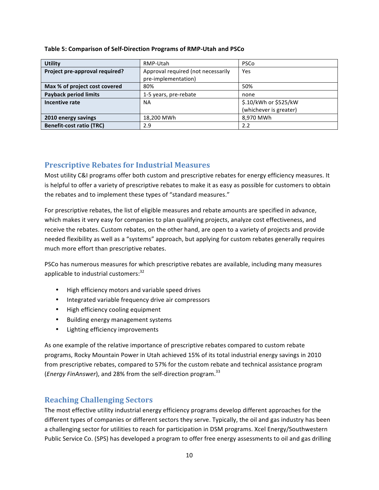| <b>Utility</b>                  | RMP-Utah                           | <b>PSCo</b>            |
|---------------------------------|------------------------------------|------------------------|
| Project pre-approval required?  | Approval required (not necessarily |                        |
|                                 | pre-implementation)                |                        |
| Max % of project cost covered   | 80%                                | 50%                    |
| <b>Payback period limits</b>    | 1-5 years, pre-rebate              | none                   |
| Incentive rate                  | <b>NA</b>                          | \$.10/kWh or \$525/kW  |
|                                 |                                    | (whichever is greater) |
| 2010 energy savings             | 18,200 MWh                         | 8,970 MWh              |
| <b>Benefit-cost ratio (TRC)</b> | 2.9                                | 2.2                    |

#### **Table 5: Comparison of Self-Direction Programs of RMP-Utah and PSCo**

# **Prescriptive.Rebates for.Industrial.Measures**

Most utility C&I programs offer both custom and prescriptive rebates for energy efficiency measures. It is helpful to offer a variety of prescriptive rebates to make it as easy as possible for customers to obtain the rebates and to implement these types of "standard measures."

For prescriptive rebates, the list of eligible measures and rebate amounts are specified in advance, which makes it very easy for companies to plan qualifying projects, analyze cost effectiveness, and receive the rebates. Custom rebates, on the other hand, are open to a variety of projects and provide needed flexibility as well as a "systems" approach, but applying for custom rebates generally requires much more effort than prescriptive rebates.

PSCo has numerous measures for which prescriptive rebates are available, including many measures applicable to industrial customers: $^{32}$ 

- High efficiency motors and variable speed drives
- Integrated variable frequency drive air compressors
- High efficiency cooling equipment
- Building energy management systems
- Lighting efficiency improvements

As one example of the relative importance of prescriptive rebates compared to custom rebate programs, Rocky Mountain Power in Utah achieved 15% of its total industrial energy savings in 2010 from prescriptive rebates, compared to 57% for the custom rebate and technical assistance program (*Energy FinAnswer*), and 28% from the self-direction program.<sup>33</sup>

# **Reaching Challenging Sectors**

The most effective utility industrial energy efficiency programs develop different approaches for the different types of companies or different sectors they serve. Typically, the oil and gas industry has been a challenging sector for utilities to reach for participation in DSM programs. Xcel Energy/Southwestern Public Service Co. (SPS) has developed a program to offer free energy assessments to oil and gas drilling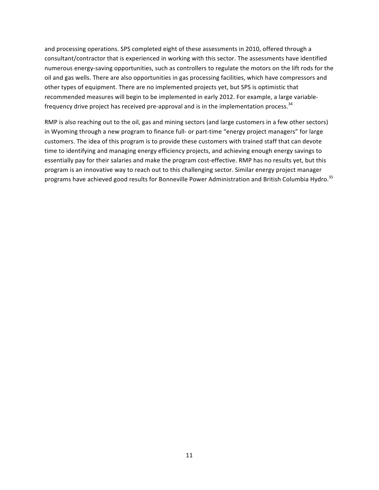and processing operations. SPS completed eight of these assessments in 2010, offered through a consultant/contractor that is experienced in working with this sector. The assessments have identified numerous energy-saving opportunities, such as controllers to regulate the motors on the lift rods for the oil and gas wells. There are also opportunities in gas processing facilities, which have compressors and other types of equipment. There are no implemented projects yet, but SPS is optimistic that recommended measures will begin to be implemented in early 2012. For example, a large variablefrequency drive project has received pre-approval and is in the implementation process.<sup>34</sup>

RMP is also reaching out to the oil, gas and mining sectors (and large customers in a few other sectors) in Wyoming through a new program to finance full- or part-time "energy project managers" for large customers. The idea of this program is to provide these customers with trained staff that can devote time to identifying and managing energy efficiency projects, and achieving enough energy savings to essentially pay for their salaries and make the program cost-effective. RMP has no results yet, but this program is an innovative way to reach out to this challenging sector. Similar energy project manager programs have achieved good results for Bonneville Power Administration and British Columbia Hydro.<sup>35</sup>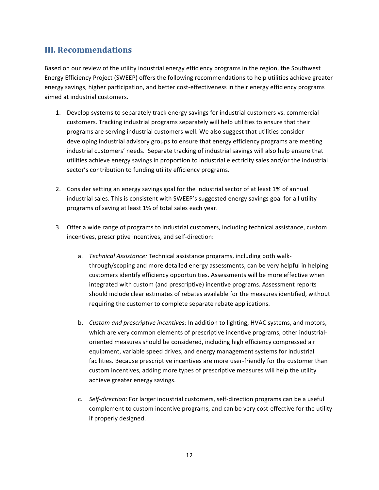# **III..Recommendations.**

Based on our review of the utility industrial energy efficiency programs in the region, the Southwest Energy Efficiency Project (SWEEP) offers the following recommendations to help utilities achieve greater energy savings, higher participation, and better cost-effectiveness in their energy efficiency programs aimed at industrial customers.

- 1. Develop systems to separately track energy savings for industrial customers vs. commercial customers. Tracking industrial programs separately will help utilities to ensure that their programs are serving industrial customers well. We also suggest that utilities consider developing industrial advisory groups to ensure that energy efficiency programs are meeting industrial customers' needs. Separate tracking of industrial savings will also help ensure that utilities achieve energy savings in proportion to industrial electricity sales and/or the industrial sector's contribution to funding utility efficiency programs.
- 2. Consider setting an energy savings goal for the industrial sector of at least 1% of annual industrial sales. This is consistent with SWEEP's suggested energy savings goal for all utility programs of saving at least 1% of total sales each year.
- 3. Offer a wide range of programs to industrial customers, including technical assistance, custom incentives, prescriptive incentives, and self-direction:
	- a. *Technical Assistance:* Technical assistance programs, including both walkthrough/scoping and more detailed energy assessments, can be very helpful in helping customers identify efficiency opportunities. Assessments will be more effective when integrated with custom (and prescriptive) incentive programs. Assessment reports should include clear estimates of rebates available for the measures identified, without requiring the customer to complete separate rebate applications.
	- b. *Custom and prescriptive incentives:* In addition to lighting, HVAC systems, and motors, which are very common elements of prescriptive incentive programs, other industrialoriented measures should be considered, including high efficiency compressed air equipment, variable speed drives, and energy management systems for industrial facilities. Because prescriptive incentives are more user-friendly for the customer than custom incentives, adding more types of prescriptive measures will help the utility achieve greater energy savings.
	- c. *Self-direction:* For larger industrial customers, self-direction programs can be a useful complement to custom incentive programs, and can be very cost-effective for the utility if properly designed.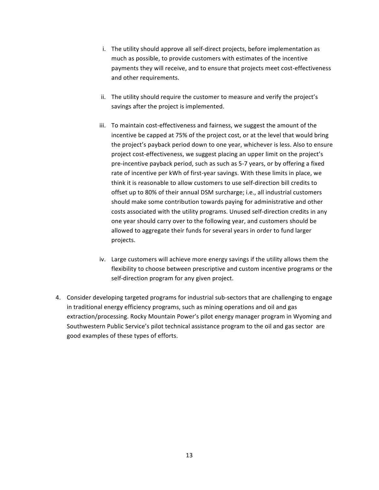- i. The utility should approve all self-direct projects, before implementation as much as possible, to provide customers with estimates of the incentive payments they will receive, and to ensure that projects meet cost-effectiveness and other requirements.
- ii. The utility should require the customer to measure and verify the project's savings after the project is implemented.
- iii. To maintain cost-effectiveness and fairness, we suggest the amount of the incentive be capped at 75% of the project cost, or at the level that would bring the project's payback period down to one year, whichever is less. Also to ensure project cost-effectiveness, we suggest placing an upper limit on the project's pre-incentive payback period, such as such as 5-7 years, or by offering a fixed rate of incentive per kWh of first-year savings. With these limits in place, we think it is reasonable to allow customers to use self-direction bill credits to offset up to 80% of their annual DSM surcharge; i.e., all industrial customers should make some contribution towards paying for administrative and other costs associated with the utility programs. Unused self-direction credits in any one year should carry over to the following year, and customers should be allowed to aggregate their funds for several years in order to fund larger projects.
- iv. Large customers will achieve more energy savings if the utility allows them the flexibility to choose between prescriptive and custom incentive programs or the self-direction program for any given project.
- 4. Consider developing targeted programs for industrial sub-sectors that are challenging to engage in traditional energy efficiency programs, such as mining operations and oil and gas extraction/processing. Rocky Mountain Power's pilot energy manager program in Wyoming and Southwestern Public Service's pilot technical assistance program to the oil and gas sector are good examples of these types of efforts.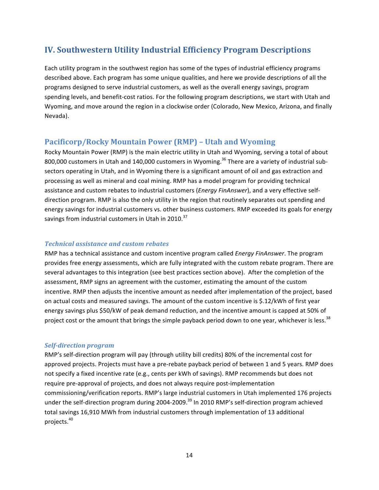# **IV..Southwestern.Utility.Industrial.Efficiency Program Descriptions**

Each utility program in the southwest region has some of the types of industrial efficiency programs described above. Each program has some unique qualities, and here we provide descriptions of all the programs designed to serve industrial customers, as well as the overall energy savings, program spending levels, and benefit-cost ratios. For the following program descriptions, we start with Utah and Wyoming, and move around the region in a clockwise order (Colorado, New Mexico, Arizona, and finally Nevada).

# **Pacificorp/Rocky.Mountain.Power (RMP).– Utah.and.Wyoming**

Rocky Mountain Power (RMP) is the main electric utility in Utah and Wyoming, serving a total of about 800,000 customers in Utah and 140,000 customers in Wyoming.<sup>36</sup> There are a variety of industrial subsectors operating in Utah, and in Wyoming there is a significant amount of oil and gas extraction and processing as well as mineral and coal mining. RMP has a model program for providing technical assistance and custom rebates to industrial customers (*Energy FinAnswer*), and a very effective selfdirection program. RMP is also the only utility in the region that routinely separates out spending and energy savings for industrial customers vs. other business customers. RMP exceeded its goals for energy savings from industrial customers in Utah in 2010. $^{37}$ 

## *Technical)assistance)and)custom)rebates*

RMP has a technical assistance and custom incentive program called *Energy FinAnswer*. The program provides free energy assessments, which are fully integrated with the custom rebate program. There are several advantages to this integration (see best practices section above). After the completion of the assessment, RMP signs an agreement with the customer, estimating the amount of the custom incentive. RMP then adjusts the incentive amount as needed after implementation of the project, based on actual costs and measured savings. The amount of the custom incentive is \$.12/kWh of first year energy savings plus \$50/kW of peak demand reduction, and the incentive amount is capped at 50% of project cost or the amount that brings the simple payback period down to one year, whichever is less.<sup>38</sup>

## *Self-direction program*

RMP's self-direction program will pay (through utility bill credits) 80% of the incremental cost for approved projects. Projects must have a pre-rebate payback period of between 1 and 5 years. RMP does not specify a fixed incentive rate (e.g., cents per kWh of savings). RMP recommends but does not require pre-approval of projects, and does not always require post-implementation commissioning/verification reports. RMP's large industrial customers in Utah implemented 176 projects under the self-direction program during 2004-2009.<sup>39</sup> In 2010 RMP's self-direction program achieved total savings 16,910 MWh from industrial customers through implementation of 13 additional projects. 40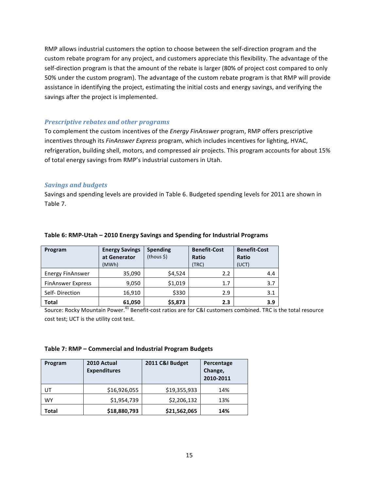RMP allows industrial customers the option to choose between the self-direction program and the custom rebate program for any project, and customers appreciate this flexibility. The advantage of the self-direction program is that the amount of the rebate is larger (80% of project cost compared to only 50% under the custom program). The advantage of the custom rebate program is that RMP will provide assistance in identifying the project, estimating the initial costs and energy savings, and verifying the savings after the project is implemented.

## *Prescriptive rebates and other programs*

To complement the custom incentives of the *Energy FinAnswer* program, RMP offers prescriptive incentives through its *FinAnswer Express* program, which includes incentives for lighting, HVAC, refrigeration, building shell, motors, and compressed air projects. This program accounts for about 15% of total energy savings from RMP's industrial customers in Utah.

## *Savings)and)budgets*

Savings and spending levels are provided in Table 6. Budgeted spending levels for 2011 are shown in Table 7.

| Program                  | <b>Energy Savings</b><br>at Generator<br>(MWh) | <b>Spending</b><br>$(hous \xi)$ | <b>Benefit-Cost</b><br>Ratio<br>(TRC) | <b>Benefit-Cost</b><br>Ratio<br>(UCT) |
|--------------------------|------------------------------------------------|---------------------------------|---------------------------------------|---------------------------------------|
| <b>Energy FinAnswer</b>  | 35,090                                         | \$4,524                         | 2.2                                   | 4.4                                   |
| <b>FinAnswer Express</b> | 9,050                                          | \$1,019                         | 1.7                                   | 3.7                                   |
| Self-Direction           | 16,910                                         | \$330                           | 2.9                                   | 3.1                                   |
| <b>Total</b>             | 61,050                                         | \$5,873                         | 2.3                                   | 3.9                                   |

#### Table 6: RMP-Utah – 2010 Energy Savings and Spending for Industrial Programs

Source: Rocky Mountain Power.<sup>41</sup> Benefit-cost ratios are for C&I customers combined. TRC is the total resource cost test; UCT is the utility cost test.

#### Table 7: RMP – Commercial and Industrial Program Budgets

| Program   | 2010 Actual<br><b>Expenditures</b> | 2011 C&I Budget | Percentage<br>Change,<br>2010-2011 |
|-----------|------------------------------------|-----------------|------------------------------------|
| UT        | \$16,926,055                       | \$19,355,933    | 14%                                |
| <b>WY</b> | \$1,954,739                        | \$2,206,132     | 13%                                |
| Total     | \$18,880,793                       | \$21,562,065    | 14%                                |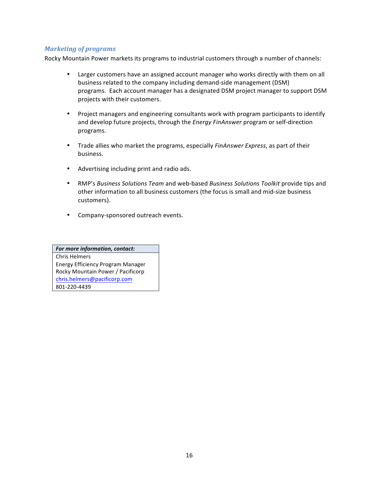## *Marketing)of)programs*

Rocky Mountain Power markets its programs to industrial customers through a number of channels:

- Larger customers have an assigned account manager who works directly with them on all business related to the company including demand-side management (DSM) programs. Each account manager has a designated DSM project manager to support DSM projects with their customers.
- Project managers and engineering consultants work with program participants to identify and develop future projects, through the *Energy FinAnswer* program or self-direction programs.
- Trade allies who market the programs, especially *FinAnswer Express*, as part of their business.
- Advertising including print and radio ads.
- RMP's *Business Solutions Team* and web-based *Business Solutions Toolkit* provide tips and other information to all business customers (the focus is small and mid-size business customers).
- Company-sponsored outreach events.

*For more information, contact:* Chris Helmers Energy!Efficiency!Program!Manager Rocky Mountain Power / Pacificorp chris.helmers@pacificorp.com 801\_220\_4439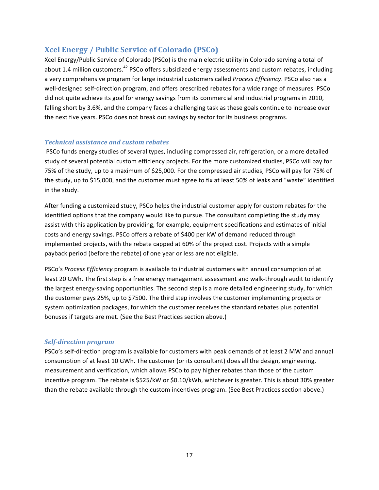# **Xcel.Energy / Public.Service.of.Colorado (PSCo)**

Xcel Energy/Public Service of Colorado (PSCo) is the main electric utility in Colorado serving a total of about 1.4 million customers.<sup>42</sup> PSCo offers subsidized energy assessments and custom rebates, including a very comprehensive program for large industrial customers called *Process Efficiency*. PSCo also has a well-designed self-direction program, and offers prescribed rebates for a wide range of measures. PSCo did not quite achieve its goal for energy savings from its commercial and industrial programs in 2010, falling short by 3.6%, and the company faces a challenging task as these goals continue to increase over the next five years. PSCo does not break out savings by sector for its business programs.

# *Technical)assistance)and)custom)rebates*

PSCo funds energy studies of several types, including compressed air, refrigeration, or a more detailed study of several potential custom efficiency projects. For the more customized studies, PSCo will pay for 75% of the study, up to a maximum of \$25,000. For the compressed air studies, PSCo will pay for 75% of the study, up to \$15,000, and the customer must agree to fix at least 50% of leaks and "waste" identified in the study.

After funding a customized study, PSCo helps the industrial customer apply for custom rebates for the identified options that the company would like to pursue. The consultant completing the study may assist with this application by providing, for example, equipment specifications and estimates of initial costs and energy savings. PSCo offers a rebate of \$400 per kW of demand reduced through implemented projects, with the rebate capped at 60% of the project cost. Projects with a simple payback period (before the rebate) of one year or less are not eligible.

PSCo's *Process Efficiency* program is available to industrial customers with annual consumption of at least 20 GWh. The first step is a free energy management assessment and walk-through audit to identify the largest energy-saving opportunities. The second step is a more detailed engineering study, for which the customer pays 25%, up to \$7500. The third step involves the customer implementing projects or system optimization packages, for which the customer receives the standard rebates plus potential bonuses if targets are met. (See the Best Practices section above.)

## *Self-direction program*

PSCo's self-direction program is available for customers with peak demands of at least 2 MW and annual consumption of at least 10 GWh. The customer (or its consultant) does all the design, engineering, measurement and verification, which allows PSCo to pay higher rebates than those of the custom incentive program. The rebate is \$525/kW or \$0.10/kWh, whichever is greater. This is about 30% greater than the rebate available through the custom incentives program. (See Best Practices section above.)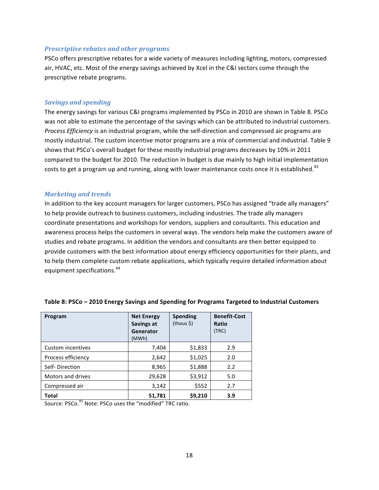#### *Prescriptive rebates and other programs*

PSCo offers prescriptive rebates for a wide variety of measures including lighting, motors, compressed air, HVAC, etc. Most of the energy savings achieved by Xcel in the C&I sectors come through the prescriptive rebate programs.

#### *Savings)and)spending*

The energy savings for various C&I programs implemented by PSCo in 2010 are shown in Table 8. PSCo was not able to estimate the percentage of the savings which can be attributed to industrial customers. *Process Efficiency* is an industrial program, while the self-direction and compressed air programs are mostly industrial. The custom incentive motor programs are a mix of commercial and industrial. Table 9 shows that PSCo's overall budget for these mostly industrial programs decreases by 10% in 2011 compared to the budget for 2010. The reduction in budget is due mainly to high initial implementation costs to get a program up and running, along with lower maintenance costs once it is established.<sup>43</sup>

#### *Marketing)and)trends*

In addition to the key account managers for larger customers, PSCo has assigned "trade ally managers" to help provide outreach to business customers, including industries. The trade ally managers coordinate presentations and workshops for vendors, suppliers and consultants. This education and awareness process helps the customers in several ways. The vendors help make the customers aware of studies and rebate programs. In addition the vendors and consultants are then better equipped to provide customers with the best information about energy efficiency opportunities for their plants, and to help them complete custom rebate applications, which typically require detailed information about equipment specifications.<sup>44</sup>

| Program            | <b>Net Energy</b><br>Savings at<br>Generator<br>(MWh) | <b>Spending</b><br>(hous §) | <b>Benefit-Cost</b><br>Ratio<br>(TRC) |
|--------------------|-------------------------------------------------------|-----------------------------|---------------------------------------|
| Custom incentives  | 7,404                                                 | \$1,833                     | 2.9                                   |
| Process efficiency | 2,642                                                 | \$1,025                     | 2.0                                   |
| Self-Direction     | 8,965                                                 | \$1,888                     | 2.2                                   |
| Motors and drives  | 29,628                                                | \$3,912                     | 5.0                                   |
| Compressed air     | 3,142                                                 | \$552                       | 2.7                                   |
| Total              | 51,781                                                | \$9,210                     | 3.9                                   |

#### Table 8: PSCo – 2010 Energy Savings and Spending for Programs Targeted to Industrial Customers

Source: PSCo.<sup>45</sup> Note: PSCo uses the "modified" TRC ratio.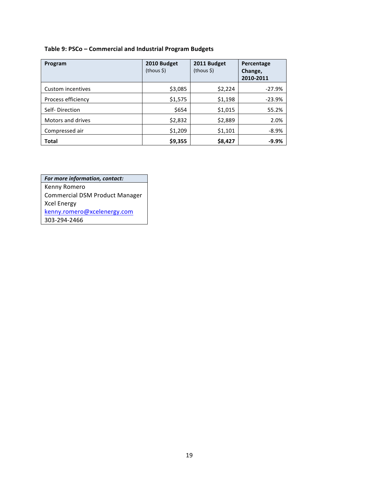# Table 9: PSCo – Commercial and Industrial Program Budgets

| Program            | 2010 Budget<br>$(hous \xi)$ | 2011 Budget<br>$(hous \xi)$ | Percentage<br>Change,<br>2010-2011 |
|--------------------|-----------------------------|-----------------------------|------------------------------------|
| Custom incentives  | \$3,085                     | \$2,224                     | $-27.9%$                           |
| Process efficiency | \$1,575                     | \$1,198                     | $-23.9%$                           |
| Self-Direction     | \$654                       | \$1,015                     | 55.2%                              |
| Motors and drives  | \$2,832                     | \$2,889                     | 2.0%                               |
| Compressed air     | \$1,209                     | \$1,101                     | $-8.9%$                            |
| <b>Total</b>       | \$9,355                     | \$8,427                     | $-9.9%$                            |

| For more information, contact:        |
|---------------------------------------|
| Kenny Romero                          |
| <b>Commercial DSM Product Manager</b> |
| <b>Xcel Energy</b>                    |
| kenny.romero@xcelenergy.com           |
| 303-294-2466                          |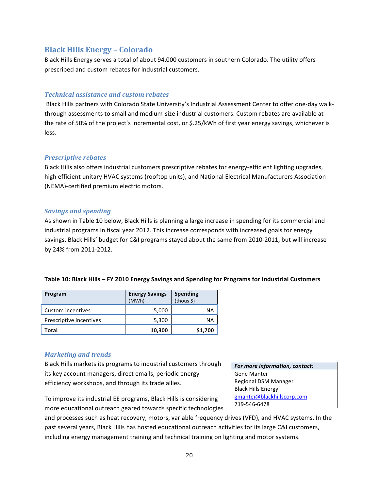# **Black.Hills.Energy.– Colorado**

Black Hills Energy serves a total of about 94,000 customers in southern Colorado. The utility offers prescribed and custom rebates for industrial customers.

## *Technical)assistance)and)custom)rebates)*

Black Hills partners with Colorado State University's Industrial Assessment Center to offer one-day walkthrough assessments to small and medium-size industrial customers. Custom rebates are available at the rate of 50% of the project's incremental cost, or \$.25/kWh of first year energy savings, whichever is less.

## *Prescriptive rebates*

Black Hills also offers industrial customers prescriptive rebates for energy-efficient lighting upgrades, high efficient unitary HVAC systems (rooftop units), and National Electrical Manufacturers Association (NEMA)-certified premium electric motors.

## *Savings)and)spending)*

As shown in Table 10 below, Black Hills is planning a large increase in spending for its commercial and industrial programs in fiscal year 2012. This increase corresponds with increased goals for energy savings. Black Hills' budget for C&I programs stayed about the same from 2010-2011, but will increase by 24% from 2011-2012.

|  |  | Table 10: Black Hills - FY 2010 Energy Savings and Spending for Programs for Industrial Customers |
|--|--|---------------------------------------------------------------------------------------------------|
|--|--|---------------------------------------------------------------------------------------------------|

| Program                 | <b>Energy Savings</b><br>(MWh) | <b>Spending</b><br>(thous \$) |
|-------------------------|--------------------------------|-------------------------------|
| Custom incentives       | 5,000                          | NA                            |
| Prescriptive incentives | 5,300                          | ΝA                            |
| Total                   | 10,300                         | \$1,700                       |

# *Marketing)and)trends*

Black Hills markets its programs to industrial customers through its key account managers, direct emails, periodic energy efficiency workshops, and through its trade allies.

To improve its industrial EE programs, Black Hills is considering more educational outreach geared towards specific technologies *For more information, contact:* Gene Mantei Regional DSM Manager **Black Hills Energy** gmantei@blackhillscorp.com 719\_546\_6478!

and processes such as heat recovery, motors, variable frequency drives (VFD), and HVAC systems. In the past several years, Black Hills has hosted educational outreach activities for its large C&I customers, including energy management training and technical training on lighting and motor systems.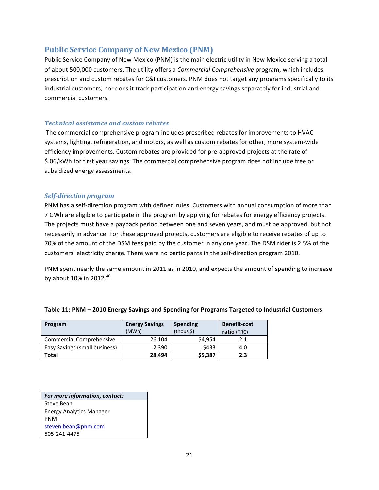# **Public Service Company of New Mexico (PNM)**

Public Service Company of New Mexico (PNM) is the main electric utility in New Mexico serving a total of about 500,000 customers. The utility offers a *Commercial Comprehensive* program, which includes prescription and custom rebates for C&I customers. PNM does not target any programs specifically to its industrial customers, nor does it track participation and energy savings separately for industrial and commercial customers.

## *Technical)assistance)and)custom)rebates*

The commercial comprehensive program includes prescribed rebates for improvements to HVAC systems, lighting, refrigeration, and motors, as well as custom rebates for other, more system-wide efficiency improvements. Custom rebates are provided for pre-approved projects at the rate of \$.06/kWh for first year savings. The commercial comprehensive program does not include free or subsidized energy assessments.

## *Self-direction program*

PNM has a self-direction program with defined rules. Customers with annual consumption of more than 7 GWh are eligible to participate in the program by applying for rebates for energy efficiency projects. The projects must have a payback period between one and seven years, and must be approved, but not necessarily in advance. For these approved projects, customers are eligible to receive rebates of up to 70% of the amount of the DSM fees paid by the customer in any one year. The DSM rider is 2.5% of the customers' electricity charge. There were no participants in the self-direction program 2010.

PNM spent nearly the same amount in 2011 as in 2010, and expects the amount of spending to increase by about  $10\%$  in 2012.<sup>46</sup>

| Program                         | <b>Energy Savings</b><br>(MWh) | <b>Spending</b><br>(hous S) | <b>Benefit-cost</b><br>ratio (TRC) |
|---------------------------------|--------------------------------|-----------------------------|------------------------------------|
| <b>Commercial Comprehensive</b> | 26,104                         | \$4.954                     | 2.1                                |
| Easy Savings (small business)   | 2,390                          | \$433                       | 4.0                                |
| <b>Total</b>                    | 28,494                         | \$5,387                     | 2.3                                |

## Table 11: PNM - 2010 Energy Savings and Spending for Programs Targeted to Industrial Customers

| For more information, contact:  |
|---------------------------------|
| Steve Bean                      |
| <b>Energy Analytics Manager</b> |
| PNM                             |
| steven.bean@pnm.com             |
| 505-241-4475                    |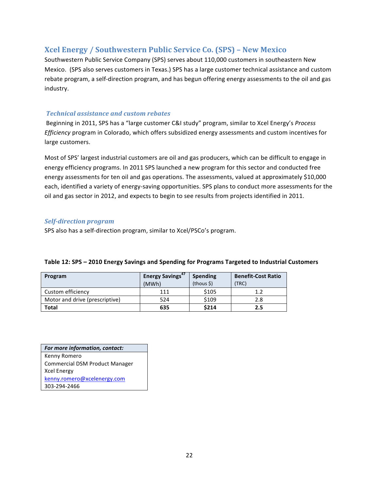# **Xcel Energy / Southwestern.Public.Service.Co..(SPS).– New.Mexico**

Southwestern Public Service Company (SPS) serves about 110,000 customers in southeastern New Mexico. (SPS also serves customers in Texas.) SPS has a large customer technical assistance and custom rebate program, a self-direction program, and has begun offering energy assessments to the oil and gas industry.

## *Technical)assistance)and)custom)rebates*

Beginning in 2011, SPS has a "large customer C&I study" program, similar to Xcel Energy's Process *Efficiency* program in Colorado, which offers subsidized energy assessments and custom incentives for large customers.

Most of SPS' largest industrial customers are oil and gas producers, which can be difficult to engage in energy efficiency programs. In 2011 SPS launched a new program for this sector and conducted free energy assessments for ten oil and gas operations. The assessments, valued at approximately \$10,000 each, identified a variety of energy-saving opportunities. SPS plans to conduct more assessments for the oil and gas sector in 2012, and expects to begin to see results from projects identified in 2011.

# *Self-direction program*

SPS also has a self-direction program, similar to Xcel/PSCo's program.

| Program                        | Energy Savings <sup>47</sup><br>(MWh) | <b>Spending</b><br>(hous §) | <b>Benefit-Cost Ratio</b><br>(TRC) |
|--------------------------------|---------------------------------------|-----------------------------|------------------------------------|
| Custom efficiency              | 111                                   | \$105                       | 1.2                                |
| Motor and drive (prescriptive) | 524                                   | \$109                       | 2.8                                |
| Total                          | 635                                   | \$214                       | 2.5                                |

## Table 12: SPS - 2010 Energy Savings and Spending for Programs Targeted to Industrial Customers

*For more information, contact:* Kenny!Romero Commercial DSM Product Manager **Xcel Energy** kenny.romero@xcelenergy.com 303\_294\_2466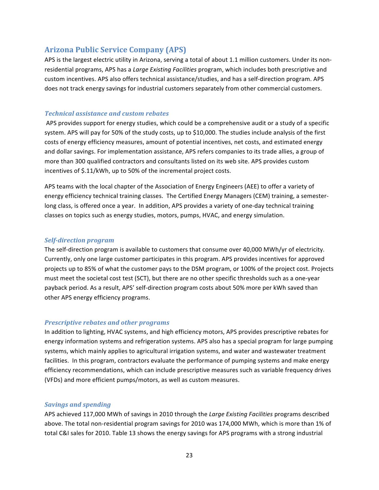# **Arizona.Public.Service.Company.(APS)**

APS is the largest electric utility in Arizona, serving a total of about 1.1 million customers. Under its nonresidential programs, APS has a *Large Existing Facilities* program, which includes both prescriptive and custom incentives. APS also offers technical assistance/studies, and has a self-direction program. APS does not track energy savings for industrial customers separately from other commercial customers.

## *Technical)assistance)and)custom)rebates*

APS provides support for energy studies, which could be a comprehensive audit or a study of a specific system. APS will pay for 50% of the study costs, up to \$10,000. The studies include analysis of the first costs of energy efficiency measures, amount of potential incentives, net costs, and estimated energy and dollar savings. For implementation assistance, APS refers companies to its trade allies, a group of more than 300 qualified contractors and consultants listed on its web site. APS provides custom incentives of \$.11/kWh, up to 50% of the incremental project costs.

APS teams with the local chapter of the Association of Energy Engineers (AEE) to offer a variety of energy efficiency technical training classes. The Certified Energy Managers (CEM) training, a semesterlong class, is offered once a year. In addition, APS provides a variety of one-day technical training classes on topics such as energy studies, motors, pumps, HVAC, and energy simulation.

## *Self-direction program*

The self-direction program is available to customers that consume over 40,000 MWh/yr of electricity. Currently, only one large customer participates in this program. APS provides incentives for approved projects up to 85% of what the customer pays to the DSM program, or 100% of the project cost. Projects must meet the societal cost test (SCT), but there are no other specific thresholds such as a one-year payback period. As a result, APS' self-direction program costs about 50% more per kWh saved than other APS energy efficiency programs.

## *Prescriptive rebates and other programs*

In addition to lighting, HVAC systems, and high efficiency motors, APS provides prescriptive rebates for energy information systems and refrigeration systems. APS also has a special program for large pumping systems, which mainly applies to agricultural irrigation systems, and water and wastewater treatment facilities. In this program, contractors evaluate the performance of pumping systems and make energy efficiency recommendations, which can include prescriptive measures such as variable frequency drives (VFDs) and more efficient pumps/motors, as well as custom measures.

## **Savings and spending**

APS achieved 117,000 MWh of savings in 2010 through the *Large Existing Facilities* programs described above. The total non-residential program savings for 2010 was 174,000 MWh, which is more than 1% of total C&I sales for 2010. Table 13 shows the energy savings for APS programs with a strong industrial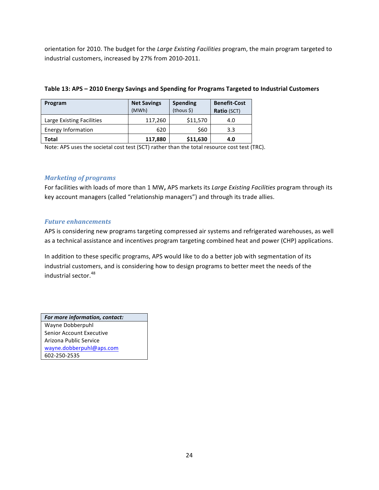orientation for 2010. The budget for the *Large Existing Facilities* program, the main program targeted to industrial customers, increased by 27% from 2010-2011.

| Program                   | <b>Net Savings</b><br>(MWh) | <b>Spending</b><br>$(hous \xi)$ | <b>Benefit-Cost</b><br>Ratio (SCT) |
|---------------------------|-----------------------------|---------------------------------|------------------------------------|
| Large Existing Facilities | 117,260                     | \$11,570                        | 4.0                                |
| Energy Information        | 620                         | \$60                            | 3.3                                |
| Total                     | 117,880                     | \$11,630                        | 4.0                                |

## Table 13: APS - 2010 Energy Savings and Spending for Programs Targeted to Industrial Customers

Note: APS uses the societal cost test (SCT) rather than the total resource cost test (TRC).

# *Marketing)of)programs*

For facilities with loads of more than 1 MW, APS markets its *Large Existing Facilities* program through its key account managers (called "relationship managers") and through its trade allies.

## *Future enhancements*

APS is considering new programs targeting compressed air systems and refrigerated warehouses, as well as a technical assistance and incentives program targeting combined heat and power (CHP) applications.

In addition to these specific programs, APS would like to do a better job with segmentation of its industrial customers, and is considering how to design programs to better meet the needs of the industrial sector.<sup>48</sup>

*For more information, contact:* Wayne Dobberpuhl Senior Account Executive Arizona Public Service wayne.dobberpuhl@aps.com 602\_250\_2535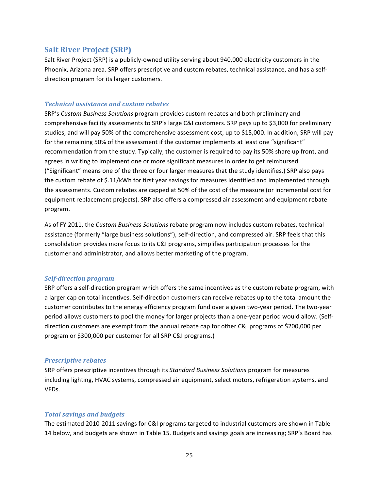# **Salt River Project (SRP)**

Salt River Project (SRP) is a publicly-owned utility serving about 940,000 electricity customers in the Phoenix, Arizona area. SRP offers prescriptive and custom rebates, technical assistance, and has a selfdirection program for its larger customers.

## *Technical)assistance)and)custom)rebates*

SRP's *Custom Business Solutions* program provides custom rebates and both preliminary and comprehensive facility assessments to SRP's large C&I customers. SRP pays up to \$3,000 for preliminary studies, and will pay 50% of the comprehensive assessment cost, up to \$15,000. In addition, SRP will pay for the remaining 50% of the assessment if the customer implements at least one "significant" recommendation from the study. Typically, the customer is required to pay its 50% share up front, and agrees in writing to implement one or more significant measures in order to get reimbursed. ("Significant" means one of the three or four larger measures that the study identifies.) SRP also pays the custom rebate of \$.11/kWh for first year savings for measures identified and implemented through the assessments. Custom rebates are capped at 50% of the cost of the measure (or incremental cost for equipment replacement projects). SRP also offers a compressed air assessment and equipment rebate program.!

As of FY 2011, the *Custom Business Solutions* rebate program now includes custom rebates, technical assistance (formerly "large business solutions"), self-direction, and compressed air. SRP feels that this consolidation provides more focus to its C&I programs, simplifies participation processes for the customer and administrator, and allows better marketing of the program.

#### *Self-direction program*

SRP offers a self-direction program which offers the same incentives as the custom rebate program, with a larger cap on total incentives. Self-direction customers can receive rebates up to the total amount the customer contributes to the energy efficiency program fund over a given two-year period. The two-year period allows customers to pool the money for larger projects than a one-year period would allow. (Selfdirection customers are exempt from the annual rebate cap for other C&I programs of \$200,000 per program or \$300,000 per customer for all SRP C&I programs.)

#### **Prescriptive rebates**

SRP offers prescriptive incentives through its *Standard Business Solutions* program for measures including lighting, HVAC systems, compressed air equipment, select motors, refrigeration systems, and VFDs.

## *Total)savings)and)budgets*

The estimated 2010-2011 savings for C&I programs targeted to industrial customers are shown in Table 14 below, and budgets are shown in Table 15. Budgets and savings goals are increasing; SRP's Board has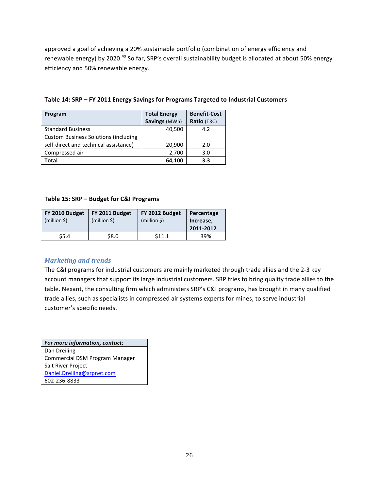approved a goal of achieving a 20% sustainable portfolio (combination of energy efficiency and renewable energy) by 2020.<sup>49</sup> So far, SRP's overall sustainability budget is allocated at about 50% energy efficiency and 50% renewable energy.

| Table 14: SRP - FY 2011 Energy Savings for Programs Targeted to Industrial Customers |  |  |  |  |  |
|--------------------------------------------------------------------------------------|--|--|--|--|--|
|--------------------------------------------------------------------------------------|--|--|--|--|--|

| Program                                     | <b>Total Energy</b> | <b>Benefit-Cost</b> |  |
|---------------------------------------------|---------------------|---------------------|--|
|                                             | Savings (MWh)       | Ratio (TRC)         |  |
| <b>Standard Business</b>                    | 40,500              | 4.2                 |  |
| <b>Custom Business Solutions (including</b> |                     |                     |  |
| self-direct and technical assistance)       | 20,900              | 2.0                 |  |
| Compressed air                              | 2,700               | 3.0                 |  |
| Total                                       | 64,100              | 3.3                 |  |

#### **Table 15: SRP – Budget for C&I Programs**

| FY 2010 Budget<br>$(million \xi)$ | FY 2011 Budget<br>(million S) | FY 2012 Budget<br>$(million \xi)$ | Percentage<br>Increase, |
|-----------------------------------|-------------------------------|-----------------------------------|-------------------------|
|                                   |                               |                                   | 2011-2012               |
| \$5.4                             | \$8.0                         | \$11.1                            | 39%                     |

## **Marketing and trends**

The C&I programs for industrial customers are mainly marketed through trade allies and the 2-3 key account managers that support its large industrial customers. SRP tries to bring quality trade allies to the table. Nexant, the consulting firm which administers SRP's C&I programs, has brought in many qualified trade allies, such as specialists in compressed air systems experts for mines, to serve industrial customer's specific needs.

For more information, contact: Dan Dreiling Commercial DSM Program Manager Salt River Project Daniel.Dreiling@srpnet.com 602\_236\_8833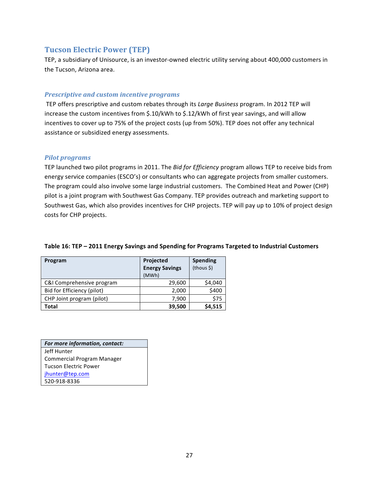# **Tucson Electric Power (TEP)**

TEP, a subsidiary of Unisource, is an investor-owned electric utility serving about 400,000 customers in the Tucson, Arizona area.

## *Prescriptive and custom incentive programs*

TEP offers prescriptive and custom rebates through its *Large Business* program. In 2012 TEP will increase the custom incentives from  $$.10/kWh$  to  $$.12/kWh$  of first year savings, and will allow incentives to cover up to 75% of the project costs (up from 50%). TEP does not offer any technical assistance or subsidized energy assessments.

## *Pilot)programs*

TEP launched two pilot programs in 2011. The *Bid for Efficiency* program allows TEP to receive bids from energy service companies (ESCO's) or consultants who can aggregate projects from smaller customers. The program could also involve some large industrial customers. The Combined Heat and Power (CHP) pilot is a joint program with Southwest Gas Company. TEP provides outreach and marketing support to Southwest Gas, which also provides incentives for CHP projects. TEP will pay up to 10% of project design costs for CHP projects.

| Program                    | Projected             | <b>Spending</b> |
|----------------------------|-----------------------|-----------------|
|                            | <b>Energy Savings</b> | (hous §)        |
|                            | (MWh)                 |                 |
| C&I Comprehensive program  | 29,600                | \$4,040         |
| Bid for Efficiency (pilot) | 2,000                 | \$400           |
| CHP Joint program (pilot)  | 7,900                 | \$75            |
| Total                      | 39,500                | \$4,515         |

## Table 16: TEP – 2011 Energy Savings and Spending for Programs Targeted to Industrial Customers

*For more information, contact:* Jeff Hunter Commercial Program Manager Tucson Electric Power jhunter@tep.com 520\_918\_8336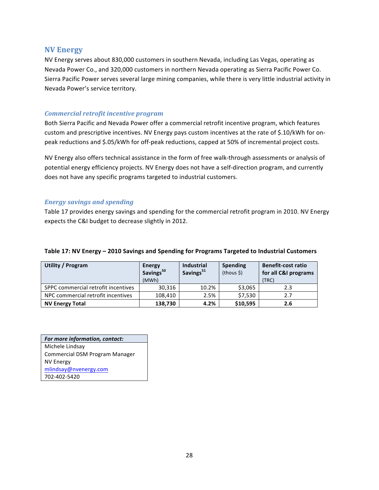## **NV.Energy**

NV Energy serves about 830,000 customers in southern Nevada, including Las Vegas, operating as Nevada Power Co., and 320,000 customers in northern Nevada operating as Sierra Pacific Power Co. Sierra Pacific Power serves several large mining companies, while there is very little industrial activity in Nevada Power's service territory.

#### *Commercial)retrofit)incentive)program*

Both Sierra Pacific and Nevada Power offer a commercial retrofit incentive program, which features custom and prescriptive incentives. NV Energy pays custom incentives at the rate of \$.10/kWh for onpeak reductions and \$.05/kWh for off-peak reductions, capped at 50% of incremental project costs.

NV Energy also offers technical assistance in the form of free walk-through assessments or analysis of potential energy efficiency projects. NV Energy does not have a self-direction program, and currently does not have any specific programs targeted to industrial customers.

#### *Energy)savings)and)spending*

Table 17 provides energy savings and spending for the commercial retrofit program in 2010. NV Energy expects the C&I budget to decrease slightly in 2012.

| Utility / Program                   | <b>Energy</b><br>Savings <sup>50</sup><br>(MWh) | <b>Industrial</b><br>Savings <sup>51</sup> | <b>Spending</b><br>$(hous \xi)$ | <b>Benefit-cost ratio</b><br>for all C&I programs<br>(TRC) |
|-------------------------------------|-------------------------------------------------|--------------------------------------------|---------------------------------|------------------------------------------------------------|
| SPPC commercial retrofit incentives | 30,316                                          | 10.2%                                      | \$3,065                         | 2.3                                                        |
| NPC commercial retrofit incentives  | 108.410                                         | 2.5%                                       | \$7,530                         | 2.7                                                        |
| <b>NV Energy Total</b>              | 138,730                                         | 4.2%                                       | \$10,595                        | 2.6                                                        |

#### Table 17: NV Energy – 2010 Savings and Spending for Programs Targeted to Industrial Customers

*For more information, contact:* Michele Lindsay Commercial DSM Program Manager **NV Energy** mlindsay@nvenergy.com 702-402-5420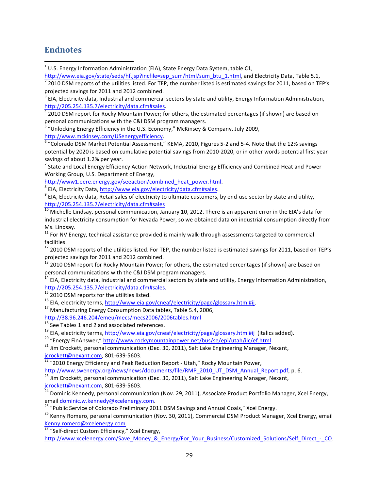# **Endnotes**

!!!!!!!!!!!!!!!!!!!!!!!!!!!!!!!!!!!!!!!!!!!!!!!!!!!!!!!!!!!!

<sup>1</sup> U.S. Energy Information Administration (EIA), State Energy Data System, table C1,

 $\frac{http://www.eia.gov/state/seds/hf.jsp?inefile=sep_sum/html/sum_btu_1.html$ , and Electricity Data, Table 5.1,<br> $\frac{1}{2}$  2010 DSM reports of the utilities listed. For TEP, the number listed is estimated savings for 2011, based on TEP's

http://205.254.135.7/electricity/data.cfm#sales.<br><sup>4</sup> 2010 DSM report for Rocky Mountain Power; for others, the estimated percentages (if shown) are based on

personal communications with the C&I DSM program managers.

<sup>5</sup> "Unlocking Energy Efficiency in the U.S. Economy," McKinsey & Company, July 2009,

http://www.mckinsey.com/USenergyefficiency.<br><sup>6</sup> "Colorado DSM Market Potential Assessment," KEMA, 2010, Figures 5-2 and 5-4. Note that the 12% savings potential by 2020 is based on cumulative potential savings from 2010-2020, or in other words potential first year savings of about 1.2% per year.<br><sup>7</sup> State and Local Energy Efficiency Action Network, Industrial Energy Efficiency and Combined Heat and Power

Working Group, U.S. Department of Energy,<br>http://www1.eere.energy.gov/seeaction/combined\_heat\_power.html.

 $\frac{8}{10}$  EIA, Electricity Data, http://www.eia.gov/electricity/data.cfm#sales.<br>9 EIA, Electricity data, Retail sales of electricity to ultimate customers, by end-use sector by state and utility, http://205.254.135.7/electricity/data.cfm#sales

 $\frac{10}{10}$  Michelle Lindsay, personal communication, January 10, 2012. There is an apparent error in the EIA's data for industrial electricity consumption for Nevada Power, so we obtained data on industrial consumption directly from Ms. Lindsay.

 $11$  For NV Energy, technical assistance provided is mainly walk-through assessments targeted to commercial facilities.

 $12$  2010 DSM reports of the utilities listed. For TEP, the number listed is estimated savings for 2011, based on TEP's projected savings for 2011 and 2012 combined.<br><sup>13</sup> 2010 DSM report for Rocky Mountain Power; for others, the estimated percentages (if shown) are based on

personal communications with the C&I DSM program managers.

 $14$  EIA, Electricity data, Industrial and commercial sectors by state and utility, Energy Information Administration,

http://205.254.135.7/electricity/data.cfm#sales.<br>
<sup>15</sup> 2010 DSM reports for the utilities listed.<br>
<sup>16</sup> EIA, electricity terms, <u>http://www.eia.gov/cneaf/electricity/page/glossary.html#ij.</u><br>
<sup>17</sup> Manufacturing Energy Consu

<sup>18</sup> See Tables 1 and 2 and associated references.<br><sup>19</sup> EIA, electricity terms, http://www.eia.gov/cneaf/electricity/page/glossary.html#ij (italics added).<br><sup>20</sup> "Energy FinAnswer," http://www.rockymountainpower.net/bus/se

icrockett@nexant.com, 801-639-5603.<br><sup>22</sup> "2010 Energy Efficiency and Peak Reduction Report - Utah," Rocky Mountain Power,

http://www.swenergy.org/news/news/documents/file/RMP\_2010\_UT\_DSM\_Annual\_Report.pdf, p. 6.<br><sup>23</sup> Jim Crockett, personal communication (Dec. 30, 2011), Salt Lake Engineering Manager, Nexant,<br> $\frac{1}{24}$  Dominic Kennedia and 2

Dominic Kennedy, personal communication (Nov. 29, 2011), Associate Product Portfolio Manager, Xcel Energy,

email <u>dominic.w.kennedy@xcelenergy.com</u>.<br><sup>25</sup> "Public Service of Colorado Preliminary 2011 DSM Savings and Annual Goals," Xcel Energy.<br><sup>26</sup> Kenny Romero, personal communication (Nov. 30, 2011), Commercial DSM Product Mana

 $\frac{27 \text{ }\textdegree}{27 \text{ }\textdegree}$  "Self-direct Custom Efficiency," Xcel Energy,

http://www.xcelenergy.com/Save\_Money\_&\_Energy/For\_Your\_Business/Customized\_Solutions/Self\_Direct\_-\_CO.

projected savings for 2011 and 2012 combined.<br><sup>3</sup> EIA, Electricity data, Industrial and commercial sectors by state and utility, Energy Information Administration,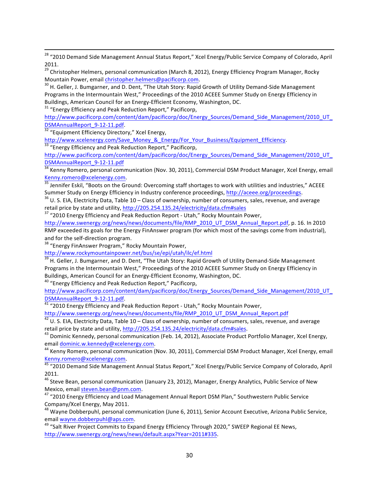!!!!!!!!!!!!!!!!!!!!!!!!!!!!!!!!!!!!!!!!!!!!!!!!!!!!!!!!!!!!!!!!!!!!!!!!!!!!!!!!!!!!!!!!!!!!!!!!!!!!!!!!!!!!!!!!!!!!!!!!!!!!!!!!!!!!!!!!!!!!!!!!!!!!!!!!!!!!!!!!!!!!!!!!!!!!!!!!!!!!!!!!!!!!!!!!!!! <sup>28</sup> "2010 Demand Side Management Annual Status Report," Xcel Energy/Public Service Company of Colorado, April 2011.

<sup>29</sup> Christopher Helmers, personal communication (March 8, 2012), Energy Efficiency Program Manager, Rocky Mountain Power, email *christopher.helmers@pacificorp.com.*<br><sup>30</sup> H. Geller, J. Bumgarner, and D. Dent, "The Utah Story: Rapid Growth of Utility Demand-Side Management

Programs in the Intermountain West," Proceedings of the 2010 ACEEE Summer Study on Energy Efficiency in Buildings, American Council for an Energy-Efficient Economy, Washington, DC. 31 "Energy Efficiency and Peak Reduction Report," Pacificorp,

http://www.pacificorp.com/content/dam/pacificorp/doc/Energy\_Sources/Demand\_Side\_Management/2010\_UT\_ DSMAnnualReport\_9-12-11.pdf.<br><sup>32</sup> "Equipment Efficiency Directory," Xcel Energy,

http://www.xcelenergy.com/Save\_Money\_&\_Energy/For\_Your\_Business/Equipment\_Efficiency.<br><sup>33</sup> "Energy Efficiency and Peak Reduction Report," Pacificorp,

http://www.pacificorp.com/content/dam/pacificorp/doc/Energy\_Sources/Demand\_Side\_Management/2010\_UT\_ DSMAnnualReport\_9-12-11.pdf<br><sup>34</sup> Kenny Romero, personal communication (Nov. 30, 2011), Commercial DSM Product Manager, Xcel Energy, email

Kenny.romero@xcelenergy.com.<br><sup>35</sup> Jennifer Eskil, "Boots on the Ground: Overcoming staff shortages to work with utilities and industries," ACEEE

Summer Study on Energy Efficiency in Industry conference proceedings, http://aceee.org/proceedings. 36 U. S. EIA, Electricity Data, Table 10 – Class of ownership, number of consumers, sales, revenue, and average

retail price by state and utility, http://205.254.135.24/electricity/data.cfm#sales 37 "2010 Energy Efficiency and Peak Reduction Report - Utah," Rocky Mountain Power,

http://www.swenergy.org/news/news/documents/file/RMP\_2010\_UT\_DSM\_Annual\_Report.pdf, p. 16. In 2010 RMP exceeded its goals for the Energy FinAnswer program (for which most of the savings come from industrial), and for the self-direction program.<br><sup>38</sup> "Energy FinAnswer Program," Rocky Mountain Power,

http://www.rockymountainpower.net/bus/se/epi/utah/ilc/ef.html

39 H. Geller, J. Bumgarner, and D. Dent, "The Utah Story: Rapid Growth of Utility Demand-Side Management Programs in the Intermountain West," Proceedings of the 2010 ACEEE Summer Study on Energy Efficiency in Buildings, American Council for an Energy-Efficient Economy, Washington, DC.

<sup>40</sup> "Energy Efficiency and Peak Reduction Report," Pacificorp,

http://www.pacificorp.com/content/dam/pacificorp/doc/Energy\_Sources/Demand\_Side\_Management/2010\_UT\_ DSMAnnualReport\_9-12-11.pdf.<br><sup>41</sup> "2010 Energy Efficiency and Peak Reduction Report - Utah," Rocky Mountain Power,

http://www.swenergy.org/news/news/documents/file/RMP\_2010\_UT\_DSM\_Annual\_Report.pdf

 $^{42}$  U. S. EIA, Electricity Data, Table 10 – Class of ownership, number of consumers, sales, revenue, and average retail price by state and utility, http://205.254.135.24/electricity/data.cfm#sales. 43 Dominic Kennedy, personal communication (Feb. 14, 2012), Associate Product Portfolio Manager, Xcel Energy,

email <u>dominic.w.kennedy@xcelenergy.com</u>.<br><sup>44</sup> Kenny Romero, personal communication (Nov. 30, 2011), Commercial DSM Product Manager, Xcel Energy, email

Kenny.romero@xcelenergy.com.<br><sup>45</sup> "2010 Demand Side Management Annual Status Report," Xcel Energy/Public Service Company of Colorado, April

2011.

<sup>46</sup> Steve Bean, personal communication (January 23, 2012), Manager, Energy Analytics, Public Service of New Mexico, email steven.bean@pnm.com.<br><sup>47</sup> "2010 Energy Efficiency and Load Management Annual Report DSM Plan," Southwestern Public Service

Company/Xcel Energy, May 2011.

<sup>48</sup> Wayne Dobberpuhl, personal communication (June 6, 2011), Senior Account Executive, Arizona Public Service, email wayne.dobberpuhl@aps.com.<br><sup>49</sup> "Salt River Project Commits to Expand Energy Efficiency Through 2020," SWEEP Regional EE News,

http://www.swenergy.org/news/news/default.aspx?Year=2011#335.!